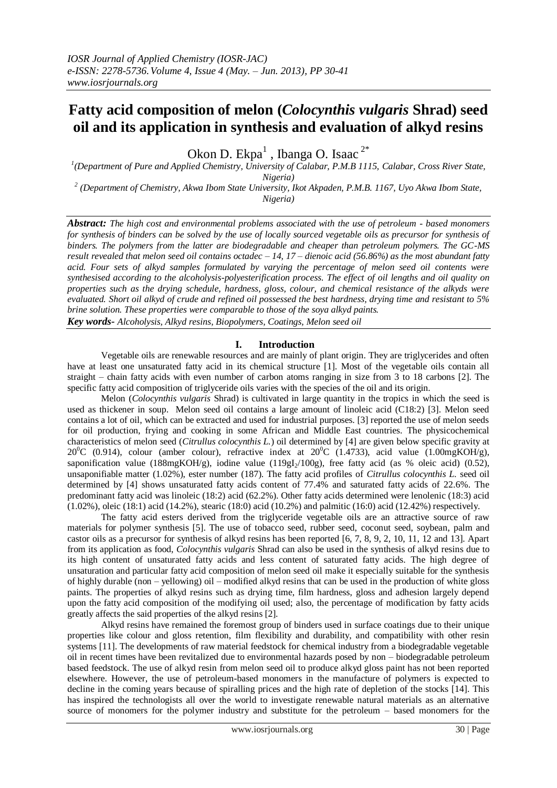# **Fatty acid composition of melon (***Colocynthis vulgaris* **Shrad) seed oil and its application in synthesis and evaluation of alkyd resins**

Okon D. Ekpa $^1$ , Ibanga O. Isaac  $^{2*}$ 

<sup>1</sup>(Department of Pure and Applied Chemistry, University of Calabar, P.M.B 1115, Calabar, Cross River State, *Nigeria)*

*2 (Department of Chemistry, Akwa Ibom State University, Ikot Akpaden, P.M.B. 1167, Uyo Akwa Ibom State, Nigeria)*

*Abstract: The high cost and environmental problems associated with the use of petroleum - based monomers for synthesis of binders can be solved by the use of locally sourced vegetable oils as precursor for synthesis of binders. The polymers from the latter are biodegradable and cheaper than petroleum polymers. The GC-MS result revealed that melon seed oil contains octadec – 14, 17 – dienoic acid (56.86%) as the most abundant fatty acid. Four sets of alkyd samples formulated by varying the percentage of melon seed oil contents were synthesised according to the alcoholysis-polyesterification process. The effect of oil lengths and oil quality on properties such as the drying schedule, hardness, gloss, colour, and chemical resistance of the alkyds were evaluated. Short oil alkyd of crude and refined oil possessed the best hardness, drying time and resistant to 5% brine solution. These properties were comparable to those of the soya alkyd paints.* 

*Key words- Alcoholysis, Alkyd resins, Biopolymers, Coatings, Melon seed oil*

#### **I. Introduction**

Vegetable oils are renewable resources and are mainly of plant origin. They are triglycerides and often have at least one unsaturated fatty acid in its chemical structure [1]. Most of the vegetable oils contain all straight – chain fatty acids with even number of carbon atoms ranging in size from 3 to 18 carbons [2]. The specific fatty acid composition of triglyceride oils varies with the species of the oil and its origin.

Melon (*Colocynthis vulgaris* Shrad) is cultivated in large quantity in the tropics in which the seed is used as thickener in soup. Melon seed oil contains a large amount of linoleic acid (C18:2) [3]. Melon seed contains a lot of oil, which can be extracted and used for industrial purposes. [3] reported the use of melon seeds for oil production, frying and cooking in some African and Middle East countries. The physicochemical characteristics of melon seed (*Citrullus colocynthis L.*) oil determined by [4] are given below specific gravity at  $20^{\circ}$ C (0.914), colour (amber colour), refractive index at  $20^{\circ}$ C (1.4733), acid value (1.00mgKOH/g), saponification value (188mgKOH/g), iodine value (119gI<sub>2</sub>/100g), free fatty acid (as % oleic acid) (0.52), unsaponifiable matter (1.02%), ester number (187). The fatty acid profiles of *Citrullus colocynthis L.* seed oil determined by [4] shows unsaturated fatty acids content of 77.4% and saturated fatty acids of 22.6%. The predominant fatty acid was linoleic (18:2) acid (62.2%). Other fatty acids determined were lenolenic (18:3) acid (1.02%), oleic (18:1) acid (14.2%), stearic (18:0) acid (10.2%) and palmitic (16:0) acid (12.42%) respectively.

The fatty acid esters derived from the triglyceride vegetable oils are an attractive source of raw materials for polymer synthesis [5]. The use of tobacco seed, rubber seed, coconut seed, soybean, palm and castor oils as a precursor for synthesis of alkyd resins has been reported [6, 7, 8, 9, 2, 10, 11, 12 and 13]. Apart from its application as food, *Colocynthis vulgaris* Shrad can also be used in the synthesis of alkyd resins due to its high content of unsaturated fatty acids and less content of saturated fatty acids. The high degree of unsaturation and particular fatty acid composition of melon seed oil make it especially suitable for the synthesis of highly durable (non – yellowing) oil – modified alkyd resins that can be used in the production of white gloss paints. The properties of alkyd resins such as drying time, film hardness, gloss and adhesion largely depend upon the fatty acid composition of the modifying oil used; also, the percentage of modification by fatty acids greatly affects the said properties of the alkyd resins [2].

Alkyd resins have remained the foremost group of binders used in surface coatings due to their unique properties like colour and gloss retention, film flexibility and durability, and compatibility with other resin systems [11]. The developments of raw material feedstock for chemical industry from a biodegradable vegetable oil in recent times have been revitalized due to environmental hazards posed by non – biodegradable petroleum based feedstock. The use of alkyd resin from melon seed oil to produce alkyd gloss paint has not been reported elsewhere. However, the use of petroleum-based monomers in the manufacture of polymers is expected to decline in the coming years because of spiralling prices and the high rate of depletion of the stocks [14]. This has inspired the technologists all over the world to investigate renewable natural materials as an alternative source of monomers for the polymer industry and substitute for the petroleum – based monomers for the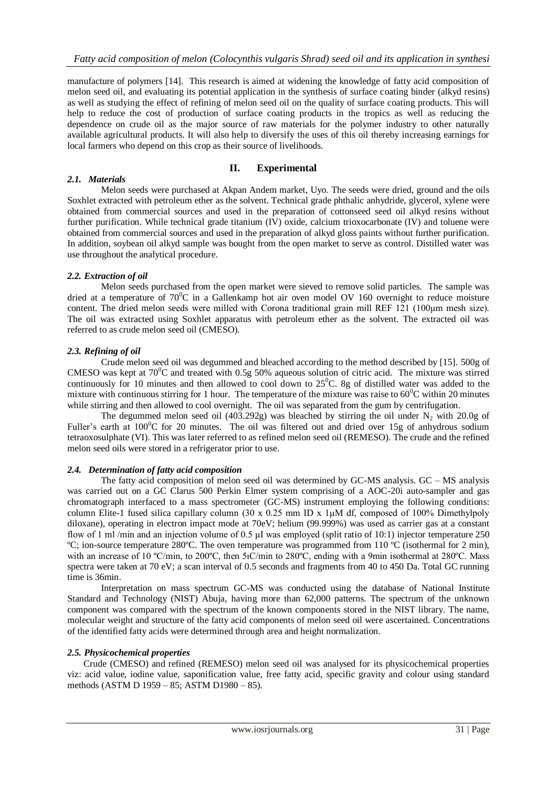manufacture of polymers [14]. This research is aimed at widening the knowledge of fatty acid composition of melon seed oil, and evaluating its potential application in the synthesis of surface coating binder (alkyd resins) as well as studying the effect of refining of melon seed oil on the quality of surface coating products. This will help to reduce the cost of production of surface coating products in the tropics as well as reducing the dependence on crude oil as the major source of raw materials for the polymer industry to other naturally available agricultural products. It will also help to diversify the uses of this oil thereby increasing earnings for local farmers who depend on this crop as their source of livelihoods.

## **II. Experimental**

#### *2.1. Materials*

Melon seeds were purchased at Akpan Andem market, Uyo. The seeds were dried, ground and the oils Soxhlet extracted with petroleum ether as the solvent. Technical grade phthalic anhydride, glycerol, xylene were obtained from commercial sources and used in the preparation of cottonseed seed oil alkyd resins without further purification. While technical grade titanium (IV) oxide, calcium trioxocarbonate (IV) and toluene were obtained from commercial sources and used in the preparation of alkyd gloss paints without further purification. In addition, soybean oil alkyd sample was bought from the open market to serve as control. Distilled water was use throughout the analytical procedure.

#### *2.2. Extraction of oil*

Melon seeds purchased from the open market were sieved to remove solid particles. The sample was dried at a temperature of  $70^0C$  in a Gallenkamp hot air oven model OV 160 overnight to reduce moisture content. The dried melon seeds were milled with Corona traditional grain mill REF 121 (100μm mesh size). The oil was extracted using Soxhlet apparatus with petroleum ether as the solvent. The extracted oil was referred to as crude melon seed oil (CMESO).

#### *2.3. Refining of oil*

Crude melon seed oil was degummed and bleached according to the method described by [15]. 500g of CMESO was kept at  $70^{\circ}$ C and treated with 0.5g 50% aqueous solution of citric acid. The mixture was stirred continuously for 10 minutes and then allowed to cool down to  $25^{\circ}$ C. 8g of distilled water was added to the mixture with continuous stirring for 1 hour. The temperature of the mixture was raise to  $60^{\circ}$ C within 20 minutes while stirring and then allowed to cool overnight. The oil was separated from the gum by centrifugation.

The degummed melon seed oil (403.292g) was bleached by stirring the oil under  $N_2$  with 20.0g of Fuller's earth at  $100^{\circ}$ C for 20 minutes. The oil was filtered out and dried over 15g of anhydrous sodium tetraoxosulphate (VI). This was later referred to as refined melon seed oil (REMESO). The crude and the refined melon seed oils were stored in a refrigerator prior to use.

#### *2.4. Determination of fatty acid composition*

The fatty acid composition of melon seed oil was determined by  $GC-MS$  analysis.  $GC-MS$  analysis was carried out on a GC Clarus 500 Perkin Elmer system comprising of a AOC-20i auto-sampler and gas chromatograph interfaced to a mass spectrometer (GC-MS) instrument employing the following conditions: column Elite-1 fused silica capillary column (30 x 0.25 mm ID x  $1 \mu M$  df, composed of 100% Dimethylpoly diloxane), operating in electron impact mode at 70eV; helium (99.999%) was used as carrier gas at a constant flow of 1 ml /min and an injection volume of 0.5  $\mu$ I was employed (split ratio of 10:1) injector temperature 250 <sup>o</sup>C; ion-source temperature 280<sup>o</sup>C. The oven temperature was programmed from 110 <sup>o</sup>C (isothermal for 2 min), with an increase of 10 °C/min, to 200°C, then 51C/min to 280°C, ending with a 9min isothermal at 280°C. Mass spectra were taken at 70 eV; a scan interval of 0.5 seconds and fragments from 40 to 450 Da. Total GC running time is 36min.

Interpretation on mass spectrum GC-MS was conducted using the database of National Institute Standard and Technology (NIST) Abuja, having more than 62,000 patterns. The spectrum of the unknown component was compared with the spectrum of the known components stored in the NIST library. The name, molecular weight and structure of the fatty acid components of melon seed oil were ascertained. Concentrations of the identified fatty acids were determined through area and height normalization.

#### *2.5. Physicochemical properties*

 Crude (CMESO) and refined (REMESO) melon seed oil was analysed for its physicochemical properties viz: acid value, iodine value, saponification value, free fatty acid, specific gravity and colour using standard methods (ASTM D 1959 – 85; ASTM D1980 – 85).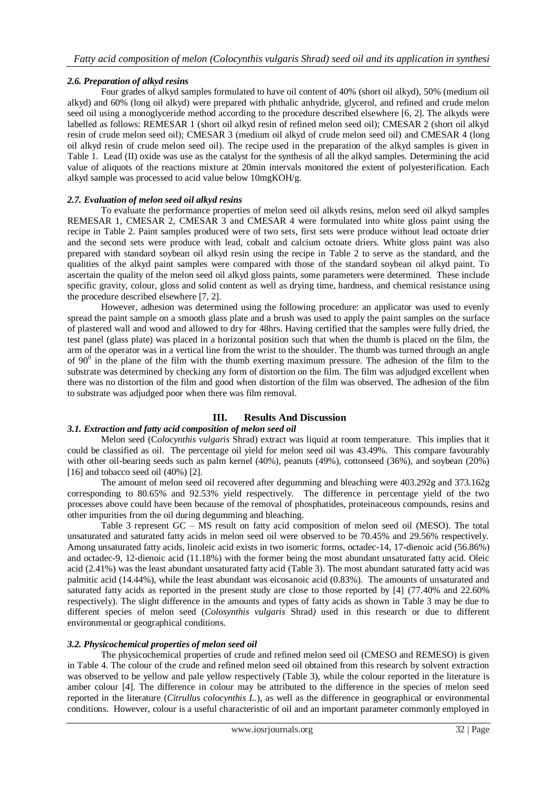### *2.6. Preparation of alkyd resins*

Four grades of alkyd samples formulated to have oil content of 40% (short oil alkyd), 50% (medium oil alkyd) and 60% (long oil alkyd) were prepared with phthalic anhydride, glycerol, and refined and crude melon seed oil using a monoglyceride method according to the procedure described elsewhere [6, 2]. The alkyds were labelled as follows: REMESAR 1 (short oil alkyd resin of refined melon seed oil); CMESAR 2 (short oil alkyd resin of crude melon seed oil); CMESAR 3 (medium oil alkyd of crude melon seed oil) and CMESAR 4 (long oil alkyd resin of crude melon seed oil). The recipe used in the preparation of the alkyd samples is given in Table 1. Lead (II) oxide was use as the catalyst for the synthesis of all the alkyd samples. Determining the acid value of aliquots of the reactions mixture at 20min intervals monitored the extent of polyesterification. Each alkyd sample was processed to acid value below 10mgKOH/g.

#### *2.7. Evaluation of melon seed oil alkyd resins*

To evaluate the performance properties of melon seed oil alkyds resins, melon seed oil alkyd samples REMESAR 1, CMESAR 2, CMESAR 3 and CMESAR 4 were formulated into white gloss paint using the recipe in Table 2. Paint samples produced were of two sets, first sets were produce without lead octoate drier and the second sets were produce with lead, cobalt and calcium octoate driers. White gloss paint was also prepared with standard soybean oil alkyd resin using the recipe in Table 2 to serve as the standard, and the qualities of the alkyd paint samples were compared with those of the standard soybean oil alkyd paint. To ascertain the quality of the melon seed oil alkyd gloss paints, some parameters were determined. These include specific gravity, colour, gloss and solid content as well as drying time, hardness, and chemical resistance using the procedure described elsewhere [7, 2].

However, adhesion was determined using the following procedure: an applicator was used to evenly spread the paint sample on a smooth glass plate and a brush was used to apply the paint samples on the surface of plastered wall and wood and allowed to dry for 48hrs. Having certified that the samples were fully dried, the test panel (glass plate) was placed in a horizontal position such that when the thumb is placed on the film, the arm of the operator was in a vertical line from the wrist to the shoulder. The thumb was turned through an angle of  $90^{\circ}$  in the plane of the film with the thumb exerting maximum pressure. The adhesion of the film to the substrate was determined by checking any form of distortion on the film. The film was adjudged excellent when there was no distortion of the film and good when distortion of the film was observed. The adhesion of the film to substrate was adjudged poor when there was film removal.

## **III. Results And Discussion**

#### *3.1. Extraction and fatty acid composition of melon seed oil*

Melon seed (C*olocynthis vulgaris* Shrad) extract was liquid at room temperature. This implies that it could be classified as oil. The percentage oil yield for melon seed oil was 43.49%. This compare favourably with other oil-bearing seeds such as palm kernel (40%), peanuts (49%), cottonseed (36%), and soybean (20%)  $[16]$  and tobacco seed oil  $(40\%)$   $[2]$ .

The amount of melon seed oil recovered after degumming and bleaching were 403.292g and 373.162g corresponding to 80.65% and 92.53% yield respectively. The difference in percentage yield of the two processes above could have been because of the removal of phosphatides, proteinaceous compounds, resins and other impurities from the oil during degumming and bleaching.

Table 3 represent GC – MS result on fatty acid composition of melon seed oil (MESO). The total unsaturated and saturated fatty acids in melon seed oil were observed to be 70.45% and 29.56% respectively. Among unsaturated fatty acids, linoleic acid exists in two isomeric forms, octadec-14, 17-dienoic acid (56.86%) and octadec-9, 12-dienoic acid (11.18%) with the former being the most abundant unsaturated fatty acid. Oleic acid (2.41%) was the least abundant unsaturated fatty acid (Table 3). The most abundant saturated fatty acid was palmitic acid (14.44%), while the least abundant was eicosanoic acid (0.83%). The amounts of unsaturated and saturated fatty acids as reported in the present study are close to those reported by [4] (77.40% and 22.60% respectively). The slight difference in the amounts and types of fatty acids as shown in Table 3 may be due to different species of melon seed (*Colosynthis vulgaris* Shrad*)* used in this research or due to different environmental or geographical conditions.

#### *3.2. Physicochemical properties of melon seed oil*

The physicochemical properties of crude and refined melon seed oil (CMESO and REMESO) is given in Table 4. The colour of the crude and refined melon seed oil obtained from this research by solvent extraction was observed to be yellow and pale yellow respectively (Table 3), while the colour reported in the literature is amber colour [4]. The difference in colour may be attributed to the difference in the species of melon seed reported in the literature (*Citrullus colocynthis L.*), as well as the difference in geographical or environmental conditions. However, colour is a useful characteristic of oil and an important parameter commonly employed in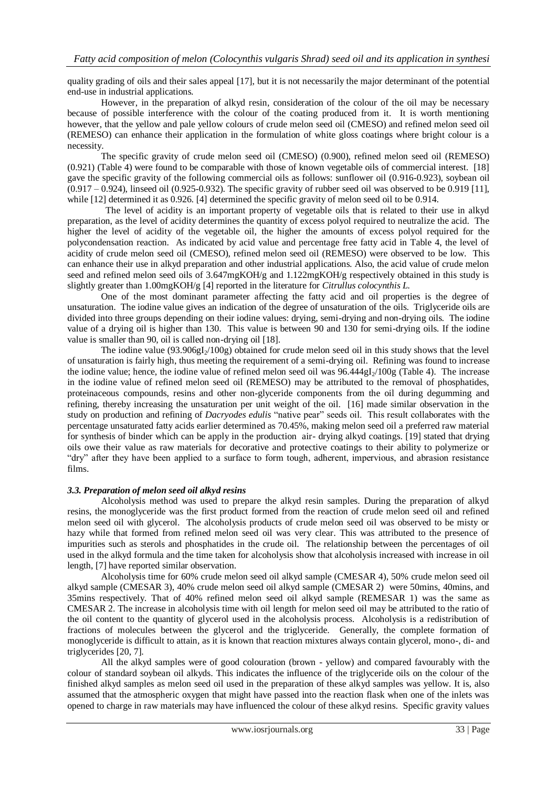quality grading of oils and their sales appeal [17], but it is not necessarily the major determinant of the potential end-use in industrial applications.

However, in the preparation of alkyd resin, consideration of the colour of the oil may be necessary because of possible interference with the colour of the coating produced from it. It is worth mentioning however, that the yellow and pale yellow colours of crude melon seed oil (CMESO) and refined melon seed oil (REMESO) can enhance their application in the formulation of white gloss coatings where bright colour is a necessity.

The specific gravity of crude melon seed oil (CMESO) (0.900), refined melon seed oil (REMESO) (0.921) (Table 4) were found to be comparable with those of known vegetable oils of commercial interest. [18] gave the specific gravity of the following commercial oils as follows: sunflower oil (0.916-0.923), soybean oil  $(0.917 - 0.924)$ , linseed oil  $(0.925 - 0.932)$ . The specific gravity of rubber seed oil was observed to be 0.919 [11], while [12] determined it as 0.926. [4] determined the specific gravity of melon seed oil to be 0.914.

 The level of acidity is an important property of vegetable oils that is related to their use in alkyd preparation, as the level of acidity determines the quantity of excess polyol required to neutralize the acid. The higher the level of acidity of the vegetable oil, the higher the amounts of excess polyol required for the polycondensation reaction. As indicated by acid value and percentage free fatty acid in Table 4, the level of acidity of crude melon seed oil (CMESO), refined melon seed oil (REMESO) were observed to be low. This can enhance their use in alkyd preparation and other industrial applications. Also, the acid value of crude melon seed and refined melon seed oils of 3.647mgKOH/g and 1.122mgKOH/g respectively obtained in this study is slightly greater than 1.00mgKOH/g [4] reported in the literature for *Citrullus colocynthis L.*

One of the most dominant parameter affecting the fatty acid and oil properties is the degree of unsaturation. The iodine value gives an indication of the degree of unsaturation of the oils. Triglyceride oils are divided into three groups depending on their iodine values: drying, semi-drying and non-drying oils. The iodine value of a drying oil is higher than 130. This value is between 90 and 130 for semi-drying oils. If the iodine value is smaller than 90, oil is called non-drying oil [18].

The iodine value  $(93.906gI_2/100g)$  obtained for crude melon seed oil in this study shows that the level of unsaturation is fairly high, thus meeting the requirement of a semi-drying oil. Refining was found to increase the iodine value; hence, the iodine value of refined melon seed oil was  $96.444gI_2/100g$  (Table 4). The increase in the iodine value of refined melon seed oil (REMESO) may be attributed to the removal of phosphatides, proteinaceous compounds, resins and other non-glyceride components from the oil during degumming and refining, thereby increasing the unsaturation per unit weight of the oil. [16] made similar observation in the study on production and refining of *Dacryodes edulis* "native pear" seeds oil. This result collaborates with the percentage unsaturated fatty acids earlier determined as 70.45%, making melon seed oil a preferred raw material for synthesis of binder which can be apply in the production air- drying alkyd coatings. [19] stated that drying oils owe their value as raw materials for decorative and protective coatings to their ability to polymerize or "dry" after they have been applied to a surface to form tough, adherent, impervious, and abrasion resistance films.

#### *3.3. Preparation of melon seed oil alkyd resins*

Alcoholysis method was used to prepare the alkyd resin samples. During the preparation of alkyd resins, the monoglyceride was the first product formed from the reaction of crude melon seed oil and refined melon seed oil with glycerol. The alcoholysis products of crude melon seed oil was observed to be misty or hazy while that formed from refined melon seed oil was very clear. This was attributed to the presence of impurities such as sterols and phosphatides in the crude oil. The relationship between the percentages of oil used in the alkyd formula and the time taken for alcoholysis show that alcoholysis increased with increase in oil length, [7] have reported similar observation.

Alcoholysis time for 60% crude melon seed oil alkyd sample (CMESAR 4), 50% crude melon seed oil alkyd sample (CMESAR 3), 40% crude melon seed oil alkyd sample (CMESAR 2) were 50mins, 40mins, and 35mins respectively. That of 40% refined melon seed oil alkyd sample (REMESAR 1) was the same as CMESAR 2. The increase in alcoholysis time with oil length for melon seed oil may be attributed to the ratio of the oil content to the quantity of glycerol used in the alcoholysis process. Alcoholysis is a redistribution of fractions of molecules between the glycerol and the triglyceride. Generally, the complete formation of monoglyceride is difficult to attain, as it is known that reaction mixtures always contain glycerol, mono-, di- and triglycerides [20, 7].

All the alkyd samples were of good colouration (brown - yellow) and compared favourably with the colour of standard soybean oil alkyds. This indicates the influence of the triglyceride oils on the colour of the finished alkyd samples as melon seed oil used in the preparation of these alkyd samples was yellow. It is, also assumed that the atmospheric oxygen that might have passed into the reaction flask when one of the inlets was opened to charge in raw materials may have influenced the colour of these alkyd resins. Specific gravity values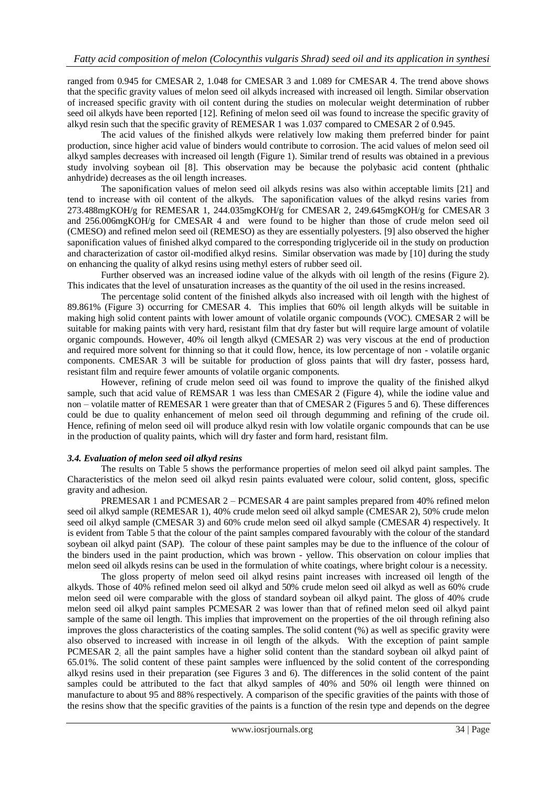ranged from 0.945 for CMESAR 2, 1.048 for CMESAR 3 and 1.089 for CMESAR 4. The trend above shows that the specific gravity values of melon seed oil alkyds increased with increased oil length. Similar observation of increased specific gravity with oil content during the studies on molecular weight determination of rubber seed oil alkyds have been reported [12]. Refining of melon seed oil was found to increase the specific gravity of alkyd resin such that the specific gravity of REMESAR 1 was 1.037 compared to CMESAR 2 of 0.945.

The acid values of the finished alkyds were relatively low making them preferred binder for paint production, since higher acid value of binders would contribute to corrosion. The acid values of melon seed oil alkyd samples decreases with increased oil length (Figure 1). Similar trend of results was obtained in a previous study involving soybean oil [8]. This observation may be because the polybasic acid content (phthalic anhydride) decreases as the oil length increases.

The saponification values of melon seed oil alkyds resins was also within acceptable limits [21] and tend to increase with oil content of the alkyds. The saponification values of the alkyd resins varies from 273.488mgKOH/g for REMESAR 1, 244.035mgKOH/g for CMESAR 2, 249.645mgKOH/g for CMESAR 3 and 256.006mgKOH/g for CMESAR 4 and were found to be higher than those of crude melon seed oil (CMESO) and refined melon seed oil (REMESO) as they are essentially polyesters. [9] also observed the higher saponification values of finished alkyd compared to the corresponding triglyceride oil in the study on production and characterization of castor oil-modified alkyd resins. Similar observation was made by [10] during the study on enhancing the quality of alkyd resins using methyl esters of rubber seed oil.

Further observed was an increased iodine value of the alkyds with oil length of the resins (Figure 2). This indicates that the level of unsaturation increases as the quantity of the oil used in the resins increased.

The percentage solid content of the finished alkyds also increased with oil length with the highest of 89.861% (Figure 3) occurring for CMESAR 4. This implies that 60% oil length alkyds will be suitable in making high solid content paints with lower amount of volatile organic compounds (VOC). CMESAR 2 will be suitable for making paints with very hard, resistant film that dry faster but will require large amount of volatile organic compounds. However, 40% oil length alkyd (CMESAR 2) was very viscous at the end of production and required more solvent for thinning so that it could flow, hence, its low percentage of non - volatile organic components. CMESAR 3 will be suitable for production of gloss paints that will dry faster, possess hard, resistant film and require fewer amounts of volatile organic components.

However, refining of crude melon seed oil was found to improve the quality of the finished alkyd sample, such that acid value of REMSAR 1 was less than CMESAR 2 (Figure 4), while the iodine value and non – volatile matter of REMESAR 1 were greater than that of CMESAR 2 (Figures 5 and 6). These differences could be due to quality enhancement of melon seed oil through degumming and refining of the crude oil. Hence, refining of melon seed oil will produce alkyd resin with low volatile organic compounds that can be use in the production of quality paints, which will dry faster and form hard, resistant film.

#### *3.4. Evaluation of melon seed oil alkyd resins*

The results on Table 5 shows the performance properties of melon seed oil alkyd paint samples. The Characteristics of the melon seed oil alkyd resin paints evaluated were colour, solid content, gloss, specific gravity and adhesion.

PREMESAR 1 and PCMESAR 2 – PCMESAR 4 are paint samples prepared from 40% refined melon seed oil alkyd sample (REMESAR 1), 40% crude melon seed oil alkyd sample (CMESAR 2), 50% crude melon seed oil alkyd sample (CMESAR 3) and 60% crude melon seed oil alkyd sample (CMESAR 4) respectively. It is evident from Table 5 that the colour of the paint samples compared favourably with the colour of the standard soybean oil alkyd paint (SAP). The colour of these paint samples may be due to the influence of the colour of the binders used in the paint production, which was brown - yellow. This observation on colour implies that melon seed oil alkyds resins can be used in the formulation of white coatings, where bright colour is a necessity.

The gloss property of melon seed oil alkyd resins paint increases with increased oil length of the alkyds. Those of 40% refined melon seed oil alkyd and 50% crude melon seed oil alkyd as well as 60% crude melon seed oil were comparable with the gloss of standard soybean oil alkyd paint. The gloss of 40% crude melon seed oil alkyd paint samples PCMESAR 2 was lower than that of refined melon seed oil alkyd paint sample of the same oil length. This implies that improvement on the properties of the oil through refining also improves the gloss characteristics of the coating samples. The solid content (%) as well as specific gravity were also observed to increased with increase in oil length of the alkyds. With the exception of paint sample PCMESAR 2; all the paint samples have a higher solid content than the standard soybean oil alkyd paint of 65.01%. The solid content of these paint samples were influenced by the solid content of the corresponding alkyd resins used in their preparation (see Figures 3 and 6). The differences in the solid content of the paint samples could be attributed to the fact that alkyd samples of 40% and 50% oil length were thinned on manufacture to about 95 and 88% respectively. A comparison of the specific gravities of the paints with those of the resins show that the specific gravities of the paints is a function of the resin type and depends on the degree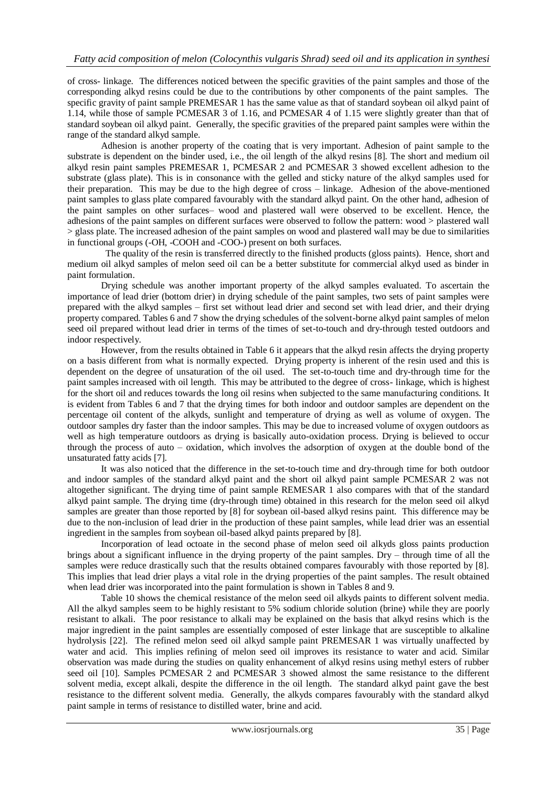of cross- linkage. The differences noticed between the specific gravities of the paint samples and those of the corresponding alkyd resins could be due to the contributions by other components of the paint samples. The specific gravity of paint sample PREMESAR 1 has the same value as that of standard soybean oil alkyd paint of 1.14, while those of sample PCMESAR 3 of 1.16, and PCMESAR 4 of 1.15 were slightly greater than that of standard soybean oil alkyd paint. Generally, the specific gravities of the prepared paint samples were within the range of the standard alkyd sample.

Adhesion is another property of the coating that is very important. Adhesion of paint sample to the substrate is dependent on the binder used, i.e., the oil length of the alkyd resins [8]. The short and medium oil alkyd resin paint samples PREMESAR 1, PCMESAR 2 and PCMESAR 3 showed excellent adhesion to the substrate (glass plate). This is in consonance with the gelled and sticky nature of the alkyd samples used for their preparation. This may be due to the high degree of cross – linkage. Adhesion of the above-mentioned paint samples to glass plate compared favourably with the standard alkyd paint. On the other hand, adhesion of the paint samples on other surfaces– wood and plastered wall were observed to be excellent. Hence, the adhesions of the paint samples on different surfaces were observed to follow the pattern: wood > plastered wall > glass plate. The increased adhesion of the paint samples on wood and plastered wall may be due to similarities in functional groups (-OH, -COOH and -COO-) present on both surfaces.

 The quality of the resin is transferred directly to the finished products (gloss paints). Hence, short and medium oil alkyd samples of melon seed oil can be a better substitute for commercial alkyd used as binder in paint formulation.

Drying schedule was another important property of the alkyd samples evaluated. To ascertain the importance of lead drier (bottom drier) in drying schedule of the paint samples, two sets of paint samples were prepared with the alkyd samples – first set without lead drier and second set with lead drier, and their drying property compared. Tables 6 and 7 show the drying schedules of the solvent-borne alkyd paint samples of melon seed oil prepared without lead drier in terms of the times of set-to-touch and dry-through tested outdoors and indoor respectively.

However, from the results obtained in Table 6 it appears that the alkyd resin affects the drying property on a basis different from what is normally expected. Drying property is inherent of the resin used and this is dependent on the degree of unsaturation of the oil used. The set-to-touch time and dry-through time for the paint samples increased with oil length. This may be attributed to the degree of cross- linkage, which is highest for the short oil and reduces towards the long oil resins when subjected to the same manufacturing conditions. It is evident from Tables 6 and 7 that the drying times for both indoor and outdoor samples are dependent on the percentage oil content of the alkyds, sunlight and temperature of drying as well as volume of oxygen. The outdoor samples dry faster than the indoor samples. This may be due to increased volume of oxygen outdoors as well as high temperature outdoors as drying is basically auto-oxidation process. Drying is believed to occur through the process of auto – oxidation, which involves the adsorption of oxygen at the double bond of the unsaturated fatty acids [7].

It was also noticed that the difference in the set-to-touch time and dry-through time for both outdoor and indoor samples of the standard alkyd paint and the short oil alkyd paint sample PCMESAR 2 was not altogether significant. The drying time of paint sample REMESAR 1 also compares with that of the standard alkyd paint sample. The drying time (dry-through time) obtained in this research for the melon seed oil alkyd samples are greater than those reported by [8] for soybean oil-based alkyd resins paint. This difference may be due to the non-inclusion of lead drier in the production of these paint samples, while lead drier was an essential ingredient in the samples from soybean oil-based alkyd paints prepared by [8].

Incorporation of lead octoate in the second phase of melon seed oil alkyds gloss paints production brings about a significant influence in the drying property of the paint samples. Dry – through time of all the samples were reduce drastically such that the results obtained compares favourably with those reported by [8]. This implies that lead drier plays a vital role in the drying properties of the paint samples. The result obtained when lead drier was incorporated into the paint formulation is shown in Tables 8 and 9.

Table 10 shows the chemical resistance of the melon seed oil alkyds paints to different solvent media. All the alkyd samples seem to be highly resistant to 5% sodium chloride solution (brine) while they are poorly resistant to alkali. The poor resistance to alkali may be explained on the basis that alkyd resins which is the major ingredient in the paint samples are essentially composed of ester linkage that are susceptible to alkaline hydrolysis [22]. The refined melon seed oil alkyd sample paint PREMESAR 1 was virtually unaffected by water and acid. This implies refining of melon seed oil improves its resistance to water and acid. Similar observation was made during the studies on quality enhancement of alkyd resins using methyl esters of rubber seed oil [10]. Samples PCMESAR 2 and PCMESAR 3 showed almost the same resistance to the different solvent media, except alkali, despite the difference in the oil length. The standard alkyd paint gave the best resistance to the different solvent media. Generally, the alkyds compares favourably with the standard alkyd paint sample in terms of resistance to distilled water, brine and acid.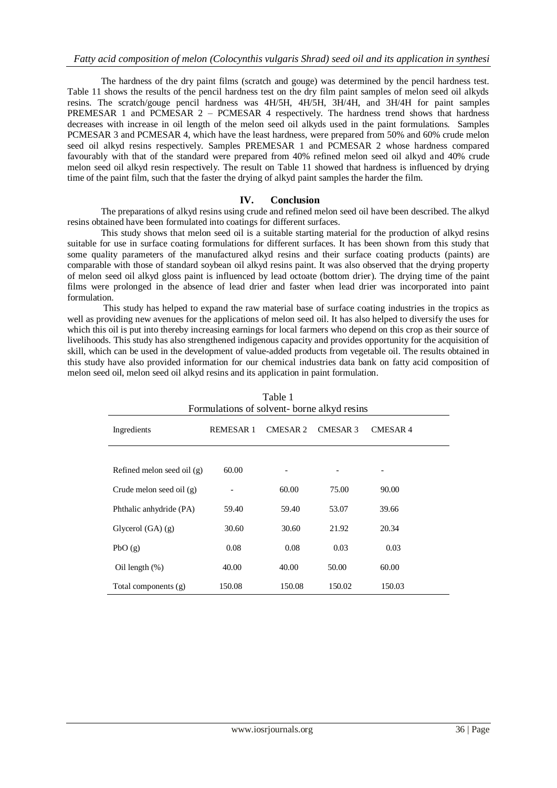The hardness of the dry paint films (scratch and gouge) was determined by the pencil hardness test. Table 11 shows the results of the pencil hardness test on the dry film paint samples of melon seed oil alkyds resins. The scratch/gouge pencil hardness was 4H/5H, 4H/5H, 3H/4H, and 3H/4H for paint samples PREMESAR 1 and PCMESAR 2 – PCMESAR 4 respectively. The hardness trend shows that hardness decreases with increase in oil length of the melon seed oil alkyds used in the paint formulations. Samples PCMESAR 3 and PCMESAR 4, which have the least hardness, were prepared from 50% and 60% crude melon seed oil alkyd resins respectively. Samples PREMESAR 1 and PCMESAR 2 whose hardness compared favourably with that of the standard were prepared from 40% refined melon seed oil alkyd and 40% crude melon seed oil alkyd resin respectively. The result on Table 11 showed that hardness is influenced by drying time of the paint film, such that the faster the drying of alkyd paint samples the harder the film.

## **IV. Conclusion**

The preparations of alkyd resins using crude and refined melon seed oil have been described. The alkyd resins obtained have been formulated into coatings for different surfaces.

This study shows that melon seed oil is a suitable starting material for the production of alkyd resins suitable for use in surface coating formulations for different surfaces. It has been shown from this study that some quality parameters of the manufactured alkyd resins and their surface coating products (paints) are comparable with those of standard soybean oil alkyd resins paint. It was also observed that the drying property of melon seed oil alkyd gloss paint is influenced by lead octoate (bottom drier). The drying time of the paint films were prolonged in the absence of lead drier and faster when lead drier was incorporated into paint formulation.

This study has helped to expand the raw material base of surface coating industries in the tropics as well as providing new avenues for the applications of melon seed oil. It has also helped to diversify the uses for which this oil is put into thereby increasing earnings for local farmers who depend on this crop as their source of livelihoods. This study has also strengthened indigenous capacity and provides opportunity for the acquisition of skill, which can be used in the development of value-added products from vegetable oil. The results obtained in this study have also provided information for our chemical industries data bank on fatty acid composition of melon seed oil, melon seed oil alkyd resins and its application in paint formulation.

| Table 1<br>Formulations of solvent-borne alkyd resins |                                                                         |                          |        |        |  |  |
|-------------------------------------------------------|-------------------------------------------------------------------------|--------------------------|--------|--------|--|--|
| Ingredients                                           | <b>CMESAR 2</b><br><b>CMESAR 3</b><br><b>CMESAR4</b><br><b>REMESAR1</b> |                          |        |        |  |  |
| Refined melon seed oil $(g)$                          | 60.00                                                                   | $\overline{\phantom{a}}$ |        |        |  |  |
| Crude melon seed oil $(g)$                            | -                                                                       | 60.00                    | 75.00  | 90.00  |  |  |
| Phthalic anhydride (PA)                               | 59.40                                                                   | 59.40                    | 53.07  | 39.66  |  |  |
| Glycerol $(GA)$ $(g)$                                 | 30.60                                                                   | 30.60                    | 21.92  | 20.34  |  |  |
| PbO(g)                                                | 0.08                                                                    | 0.08                     | 0.03   | 0.03   |  |  |
| Oil length $(\%)$                                     | 40.00                                                                   | 40.00                    | 50.00  | 60.00  |  |  |
| Total components (g)                                  | 150.08                                                                  | 150.08                   | 150.02 | 150.03 |  |  |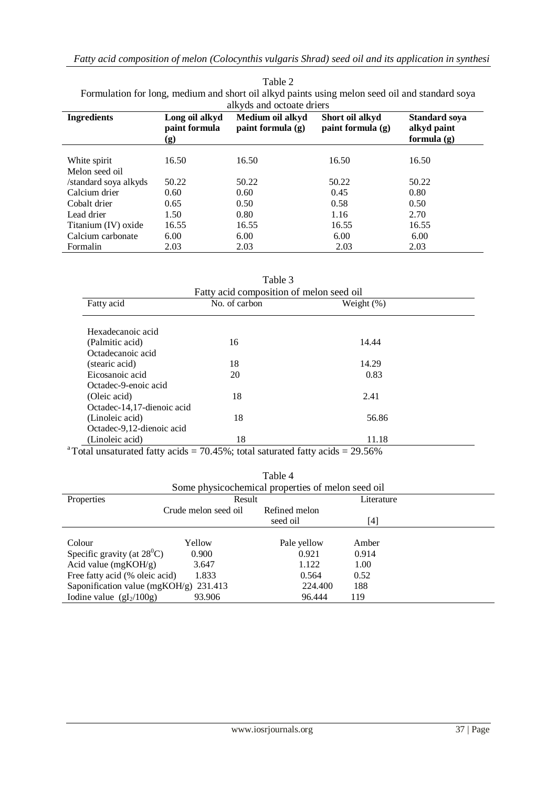| alkyds and octoate driers |                                                               |                                         |                                        |                                                    |
|---------------------------|---------------------------------------------------------------|-----------------------------------------|----------------------------------------|----------------------------------------------------|
| <b>Ingredients</b>        | Long oil alkyd<br>paint formula<br>$\left( \mathbf{g}\right)$ | Medium oil alkyd<br>paint formula $(g)$ | Short oil alkyd<br>paint formula $(g)$ | <b>Standard soya</b><br>alkyd paint<br>formula (g) |
| White spirit              | 16.50                                                         | 16.50                                   | 16.50                                  | 16.50                                              |
| Melon seed oil            |                                                               |                                         |                                        |                                                    |
| /standard soya alkyds     | 50.22                                                         | 50.22                                   | 50.22                                  | 50.22                                              |
| Calcium drier             | 0.60                                                          | 0.60                                    | 0.45                                   | 0.80                                               |
| Cobalt drier              | 0.65                                                          | 0.50                                    | 0.58                                   | 0.50                                               |
| Lead drier                | 1.50                                                          | 0.80                                    | 1.16                                   | 2.70                                               |
| Titanium (IV) oxide       | 16.55                                                         | 16.55                                   | 16.55                                  | 16.55                                              |
| Calcium carbonate         | 6.00                                                          | 6.00                                    | 6.00                                   | 6.00                                               |
| Formalin                  | 2.03                                                          | 2.03                                    | 2.03                                   | 2.03                                               |

| Table 2                                                                                        |  |  |  |
|------------------------------------------------------------------------------------------------|--|--|--|
| Formulation for long, medium and short oil alkyd paints using melon seed oil and standard soya |  |  |  |
| allzude and octoate driere                                                                     |  |  |  |

| Table 3                    |                                          |               |  |  |
|----------------------------|------------------------------------------|---------------|--|--|
|                            | Fatty acid composition of melon seed oil |               |  |  |
| Fatty acid                 | No. of carbon                            | Weight $(\%)$ |  |  |
|                            |                                          |               |  |  |
| Hexadecanoic acid          |                                          |               |  |  |
| (Palmitic acid)            | 16                                       | 14.44         |  |  |
| Octadecanoic acid          |                                          |               |  |  |
| (stearic acid)             | 18                                       | 14.29         |  |  |
| Eicosanoic acid            | 20                                       | 0.83          |  |  |
| Octadec-9-enoic acid       |                                          |               |  |  |
| (Oleic acid)               | 18                                       | 2.41          |  |  |
| Octadec-14,17-dienoic acid |                                          |               |  |  |
| (Linoleic acid)            | 18                                       | 56.86         |  |  |
| Octadec-9,12-dienoic acid  |                                          |               |  |  |
| (Linoleic acid)            | 18                                       | 11.18         |  |  |

<sup>a</sup>Total unsaturated fatty acids = 70.45%; total saturated fatty acids =  $29.56\%$ 

| Table 4<br>Some physicochemical properties of melon seed oil |                      |               |            |  |
|--------------------------------------------------------------|----------------------|---------------|------------|--|
|                                                              |                      |               |            |  |
| Properties                                                   | Result               |               | Literature |  |
|                                                              | Crude melon seed oil | Refined melon |            |  |
|                                                              |                      | seed oil      | [4]        |  |
|                                                              |                      |               |            |  |
| Colour                                                       | Yellow               | Pale yellow   | Amber      |  |
| Specific gravity (at $28^{\circ}$ C)                         | 0.900                | 0.921         | 0.914      |  |
| Acid value $(mgKOH/g)$                                       | 3.647                | 1.122         | 1.00       |  |
| Free fatty acid (% oleic acid)                               | 1.833                | 0.564         | 0.52       |  |
| Saponification value (mgKOH/g) $231.413$                     |                      | 224.400       | 188        |  |
| Iodine value $(gI_2/100g)$                                   | 93.906               | 96.444        | 119        |  |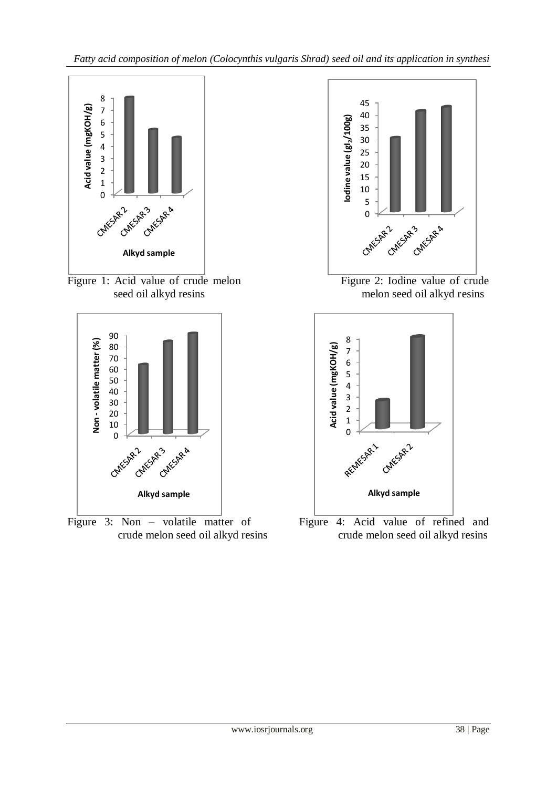

Figure 1: Acid value of crude melon Figure 2: Iodine value of crude



Figure



seed oil alkyd resins melon seed oil alkyd resins



Figure 3: Non – volatile matter of Figure 4: Acid value of refined and crude melon seed oil alkyd resins crude melon seed oil alkyd resins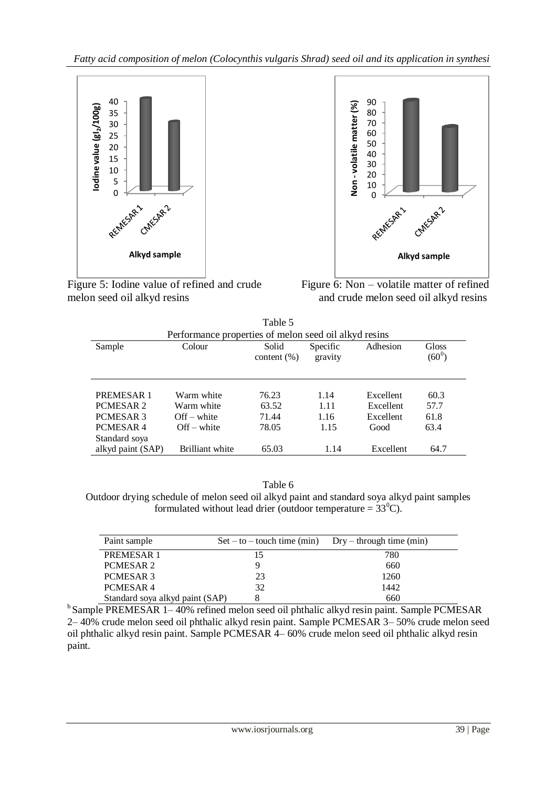

Figure 5: Iodine value of refined and crude Figure 6: Non – volatile matter of refined melon seed oil alkyd resins and crude melon seed oil alkyd resins



| Table 5              |                                                       |                 |          |           |          |
|----------------------|-------------------------------------------------------|-----------------|----------|-----------|----------|
|                      | Performance properties of melon seed oil alkyd resins |                 |          |           |          |
| Sample               | Colour                                                | Solid           | Specific | Adhesion  | Gloss    |
|                      |                                                       | content $(\% )$ | gravity  |           | $(60^0)$ |
|                      |                                                       |                 |          |           |          |
|                      |                                                       |                 |          |           |          |
| PREMESAR 1           | Warm white                                            | 76.23           | 1.14     | Excellent | 60.3     |
| PCMESAR <sub>2</sub> | Warm white                                            | 63.52           | 1.11     | Excellent | 57.7     |
| PCMESAR 3            | $Off$ – white                                         | 71.44           | 1.16     | Excellent | 61.8     |
| PCMESAR4             | $Off$ – white                                         | 78.05           | 1.15     | Good      | 63.4     |
| Standard soya        |                                                       |                 |          |           |          |
| alkyd paint (SAP)    | Brilliant white                                       | 65.03           | 1.14     | Excellent | 64.7     |

Table 6

Outdoor drying schedule of melon seed oil alkyd paint and standard soya alkyd paint samples formulated without lead drier (outdoor temperature =  $33^{\circ}$ C).

| Paint sample                    | $Set - to - touch time (min)$ $Dry - through time (min)$ |      |
|---------------------------------|----------------------------------------------------------|------|
| PREMESAR 1                      |                                                          | 780  |
| PCMESAR 2                       |                                                          | 660  |
| PCMESAR 3                       | 23                                                       | 1260 |
| PCMESAR4                        | 32                                                       | 1442 |
| Standard soya alkyd paint (SAP) |                                                          | 660  |

<sup>b</sup>Sample PREMESAR 1–40% refined melon seed oil phthalic alkyd resin paint. Sample PCMESAR 2– 40% crude melon seed oil phthalic alkyd resin paint. Sample PCMESAR 3– 50% crude melon seed oil phthalic alkyd resin paint. Sample PCMESAR 4– 60% crude melon seed oil phthalic alkyd resin paint.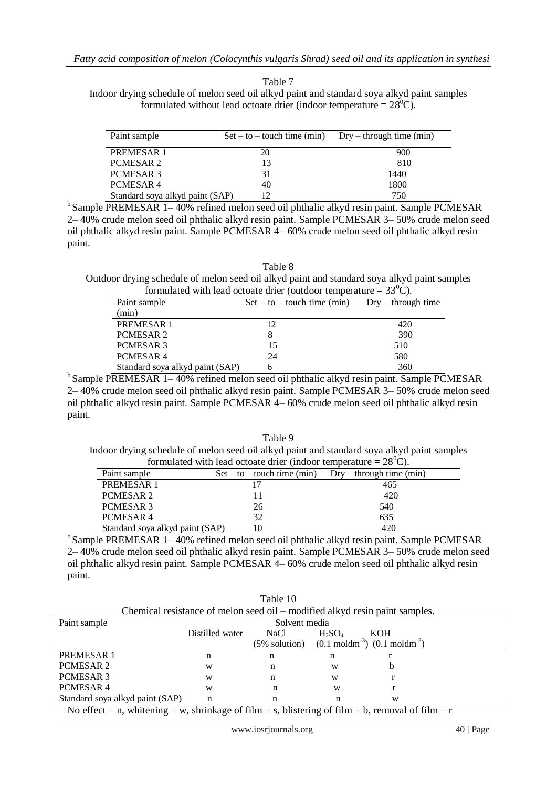Table 7

Indoor drying schedule of melon seed oil alkyd paint and standard soya alkyd paint samples formulated without lead octoate drier (indoor temperature =  $28^{\circ}$ C).

| Paint sample                    | $Set - to - touch time (min)$ $Dry - through time (min)$ |      |
|---------------------------------|----------------------------------------------------------|------|
| PREMESAR 1                      | 20                                                       | 900  |
| PCMESAR 2                       | 13                                                       | 810  |
| PCMESAR <sub>3</sub>            | 31                                                       | 1440 |
| PCMESAR4                        | 40                                                       | 1800 |
| Standard soya alkyd paint (SAP) |                                                          | 750  |

 $b$ Sample PREMESAR 1–40% refined melon seed oil phthalic alkyd resin paint. Sample PCMESAR 2– 40% crude melon seed oil phthalic alkyd resin paint. Sample PCMESAR 3– 50% crude melon seed oil phthalic alkyd resin paint. Sample PCMESAR 4– 60% crude melon seed oil phthalic alkyd resin paint.

Table 8

Outdoor drying schedule of melon seed oil alkyd paint and standard soya alkyd paint samples formulated with lead octoate drier (outdoor temperature =  $33^{\circ}$ C).

| Paint sample                    | $Set - to - touch time (min)$ | $Dry - through time$ |
|---------------------------------|-------------------------------|----------------------|
| (min)                           |                               |                      |
| <b>PREMESAR1</b>                | 12                            | 420                  |
| PCMESAR <sub>2</sub>            |                               | 390                  |
| PCMESAR <sub>3</sub>            | 15                            | 510                  |
| PCMESAR4                        | 24                            | 580                  |
| Standard soya alkyd paint (SAP) |                               | 360                  |

 $b$ Sample PREMESAR 1–40% refined melon seed oil phthalic alkyd resin paint. Sample PCMESAR 2– 40% crude melon seed oil phthalic alkyd resin paint. Sample PCMESAR 3– 50% crude melon seed oil phthalic alkyd resin paint. Sample PCMESAR 4– 60% crude melon seed oil phthalic alkyd resin paint.

Table 9 Indoor drying schedule of melon seed oil alkyd paint and standard soya alkyd paint samples formulated with lead octoate drier (indoor temperature =  $28^{\circ}$ C).

| Paint sample                    | $Set - to - touch time (min)$ | $Dry - through time (min)$ |
|---------------------------------|-------------------------------|----------------------------|
| PREMESAR 1                      |                               | 465                        |
| PCMESAR 2                       |                               | 420                        |
| PCMESAR 3                       | 26                            | 540                        |
| PCMESAR4                        | 32                            | 635                        |
| Standard soya alkyd paint (SAP) |                               | 420                        |

 $b$ Sample PREMESAR 1–40% refined melon seed oil phthalic alkyd resin paint. Sample PCMESAR  $2-40\%$  crude melon seed oil phthalic alkyd resin paint. Sample PCMESAR  $3-50\%$  crude melon seed oil phthalic alkyd resin paint. Sample PCMESAR 4– 60% crude melon seed oil phthalic alkyd resin paint.

| Table 10                                                                                         |                 |               |           |                                                                                |  |
|--------------------------------------------------------------------------------------------------|-----------------|---------------|-----------|--------------------------------------------------------------------------------|--|
|                                                                                                  |                 |               |           | Chemical resistance of melon seed oil – modified alkyd resin paint samples.    |  |
| Paint sample                                                                                     |                 | Solvent media |           |                                                                                |  |
|                                                                                                  | Distilled water | <b>NaCl</b>   | $H_2SO_4$ | KOH                                                                            |  |
|                                                                                                  |                 |               |           | $(5\% \text{ solution})$ $(0.1 \text{ mod/m}^{-3})$ $(0.1 \text{ mod/m}^{-3})$ |  |
| <b>PREMESAR1</b>                                                                                 | n               | n             | n         |                                                                                |  |
| PCMESAR <sub>2</sub>                                                                             | W               | n             | W         | b                                                                              |  |
| PCMESAR 3                                                                                        | W               | n             | W         |                                                                                |  |
| PCMESAR4                                                                                         | W               | n             | W         |                                                                                |  |
| Standard soya alkyd paint (SAP)                                                                  | n               | n             |           | W                                                                              |  |
| No effect = n, whitening = w, shrinkage of film = s, blistering of film = b, removal of film = r |                 |               |           |                                                                                |  |